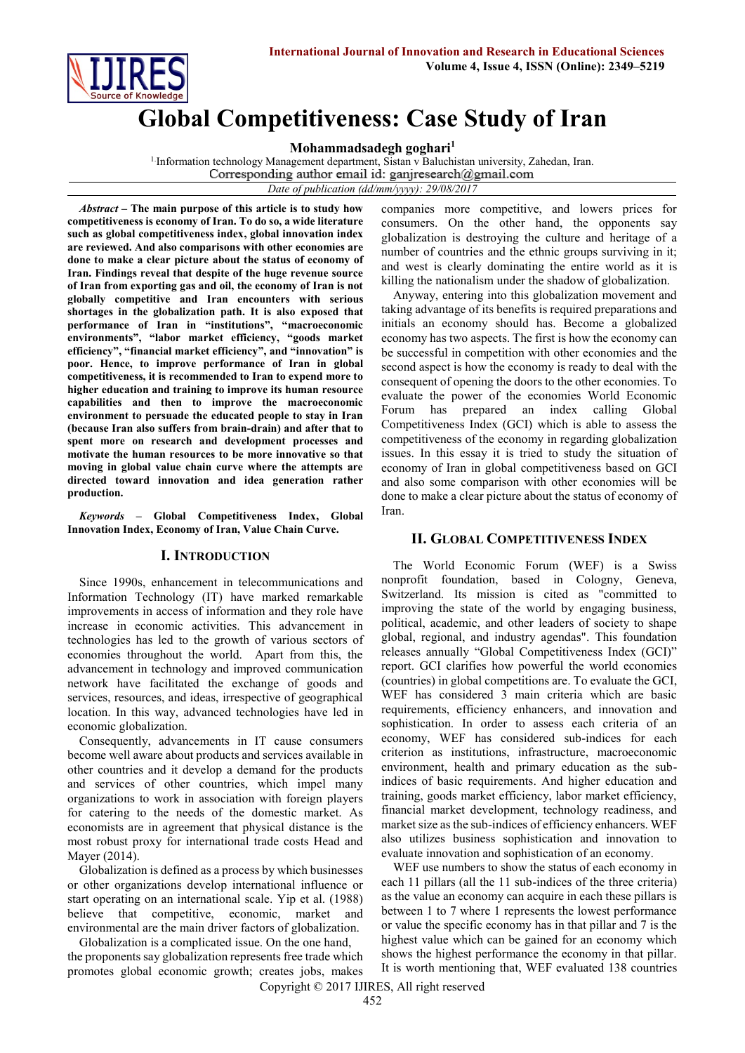

# **Global Competitiveness: Case Study of Iran**

**Mohammadsadegh goghari<sup>1</sup>**

<sup>1.</sup>Information technology Management department, Sistan v Baluchistan university, Zahedan, Iran.<br>Corresponding author email id: ganjresearch@gmail.com

*Date of publication (dd/mm/yyyy): 29/08/2017*

*Abstract* **– The main purpose of this article is to study how competitiveness is economy of Iran. To do so, a wide literature such as global competitiveness index, global innovation index are reviewed. And also comparisons with other economies are done to make a clear picture about the status of economy of Iran. Findings reveal that despite of the huge revenue source of Iran from exporting gas and oil, the economy of Iran is not globally competitive and Iran encounters with serious shortages in the globalization path. It is also exposed that performance of Iran in "institutions", "macroeconomic environments", "labor market efficiency, "goods market efficiency", "financial market efficiency", and "innovation" is poor. Hence, to improve performance of Iran in global competitiveness, it is recommended to Iran to expend more to higher education and training to improve its human resource capabilities and then to improve the macroeconomic environment to persuade the educated people to stay in Iran (because Iran also suffers from brain-drain) and after that to spent more on research and development processes and motivate the human resources to be more innovative so that moving in global value chain curve where the attempts are directed toward innovation and idea generation rather production.**

*Keywords* **– Global Competitiveness Index, Global Innovation Index, Economy of Iran, Value Chain Curve.**

## **I. INTRODUCTION**

Since 1990s, enhancement in telecommunications and Information Technology (IT) have marked remarkable improvements in access of information and they role have increase in economic activities. This advancement in technologies has led to the growth of various sectors of economies throughout the world. Apart from this, the advancement in technology and improved communication network have facilitated the exchange of goods and services, resources, and ideas, irrespective of geographical location. In this way, advanced technologies have led in economic globalization.

Consequently, advancements in IT cause consumers become well aware about products and services available in other countries and it develop a demand for the products and services of other countries, which impel many organizations to work in association with foreign players for catering to the needs of the domestic market. As economists are in agreement that physical distance is the most robust proxy for international trade costs Head and Mayer (2014).

Globalization is defined as a process by which businesses or other organizations develop international influence or start operating on an international scale. Yip et al. (1988) believe that competitive, economic, market and environmental are the main driver factors of globalization.

Globalization is a complicated issue. On the one hand, the proponents say globalization represents free trade which promotes global economic growth; creates jobs, makes

companies more competitive, and lowers prices for consumers. On the other hand, the opponents say globalization is destroying the culture and heritage of a number of countries and the ethnic groups surviving in it; and west is clearly dominating the entire world as it is killing the nationalism under the shadow of globalization.

Anyway, entering into this globalization movement and taking advantage of its benefits is required preparations and initials an economy should has. Become a globalized economy has two aspects. The first is how the economy can be successful in competition with other economies and the second aspect is how the economy is ready to deal with the consequent of opening the doors to the other economies. To evaluate the power of the economies World Economic Forum has prepared an index calling Global Competitiveness Index (GCI) which is able to assess the competitiveness of the economy in regarding globalization issues. In this essay it is tried to study the situation of economy of Iran in global competitiveness based on GCI and also some comparison with other economies will be done to make a clear picture about the status of economy of Iran.

## **II. GLOBAL COMPETITIVENESS INDEX**

The World Economic Forum (WEF) is a Swiss nonprofit foundation, based in Cologny, Geneva, Switzerland. Its mission is cited as "committed to improving the state of the world by engaging business, political, academic, and other leaders of society to shape global, regional, and industry agendas". This foundation releases annually "Global Competitiveness Index (GCI)" report. GCI clarifies how powerful the world economies (countries) in global competitions are. To evaluate the GCI, WEF has considered 3 main criteria which are basic requirements, efficiency enhancers, and innovation and sophistication. In order to assess each criteria of an economy, WEF has considered sub-indices for each criterion as institutions, infrastructure, macroeconomic environment, health and primary education as the subindices of basic requirements. And higher education and training, goods market efficiency, labor market efficiency, financial market development, technology readiness, and market size as the sub-indices of efficiency enhancers. WEF also utilizes business sophistication and innovation to evaluate innovation and sophistication of an economy.

WEF use numbers to show the status of each economy in each 11 pillars (all the 11 sub-indices of the three criteria) as the value an economy can acquire in each these pillars is between 1 to 7 where 1 represents the lowest performance or value the specific economy has in that pillar and 7 is the highest value which can be gained for an economy which shows the highest performance the economy in that pillar. It is worth mentioning that, WEF evaluated 138 countries

Copyright © 2017 IJIRES, All right reserved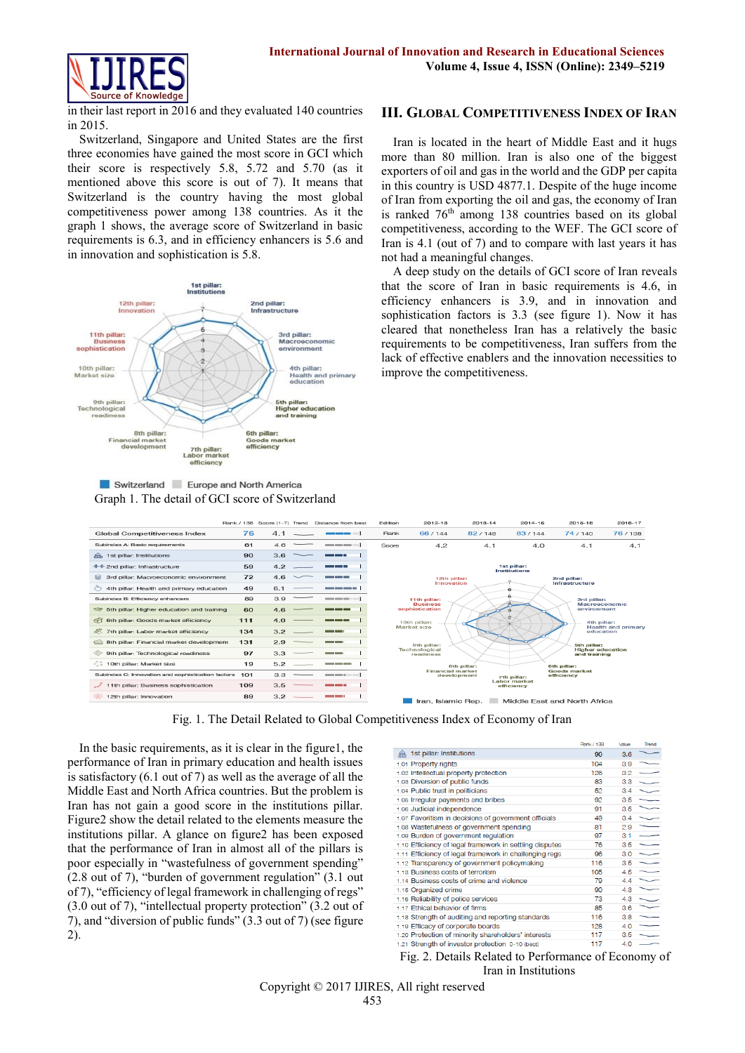

in their last report in 2016 and they evaluated 140 countries in 2015.

Switzerland, Singapore and United States are the first three economies have gained the most score in GCI which their score is respectively 5.8, 5.72 and 5.70 (as it mentioned above this score is out of 7). It means that Switzerland is the country having the most global competitiveness power among 138 countries. As it the graph 1 shows, the average score of Switzerland in basic requirements is 6.3, and in efficiency enhancers is 5.6 and in innovation and sophistication is 5.8.



Switzerland Europe and North America Graph 1. The detail of GCI score of Switzerland

#### **III. GLOBAL COMPETITIVENESS INDEX OF IRAN**

Iran is located in the heart of Middle East and it hugs more than 80 million. Iran is also one of the biggest exporters of oil and gas in the world and the GDP per capita in this country is USD 4877.1. Despite of the huge income of Iran from exporting the oil and gas, the economy of Iran is ranked  $76<sup>th</sup>$  among 138 countries based on its global competitiveness, according to the WEF. The GCI score of Iran is 4.1 (out of 7) and to compare with last years it has not had a meaningful changes.

A deep study on the details of GCI score of Iran reveals that the score of Iran in basic requirements is 4.6, in efficiency enhancers is 3.9, and in innovation and sophistication factors is 3.3 (see figure 1). Now it has cleared that nonetheless Iran has a relatively the basic requirements to be competitiveness, Iran suffers from the lack of effective enablers and the innovation necessities to improve the competitiveness.



Fig. 1. The Detail Related to Global Competitiveness Index of Economy of Iran

In the basic requirements, as it is clear in the figure1, the performance of Iran in primary education and health issues is satisfactory (6.1 out of 7) as well as the average of all the Middle East and North Africa countries. But the problem is Iran has not gain a good score in the institutions pillar. Figure2 show the detail related to the elements measure the institutions pillar. A glance on figure2 has been exposed that the performance of Iran in almost all of the pillars is poor especially in "wastefulness of government spending" (2.8 out of 7), "burden of government regulation" (3.1 out of 7), "efficiency of legal framework in challenging of regs" (3.0 out of 7), "intellectual property protection" (3.2 out of 7), and "diversion of public funds" (3.3 out of 7) (see figure 2).

|                                                         | <b>FUITH / 135</b> | value | <b>Ireno</b> |
|---------------------------------------------------------|--------------------|-------|--------------|
| 1st pillar: Institutions                                | 90                 | 3.6   |              |
| 1.01 Property rights                                    | 104                | 3.9   |              |
| 1.02 Intellectual property protection                   | 126                | 3.2   |              |
| 1.03 Diversion of public funds                          | 83                 | 3.3   |              |
| 1.04 Public trust in politicians                        | 52                 | 3.4   |              |
| 1.05 Irregular payments and bribes                      | 92                 | 3.5   |              |
| 1.06 Judicial independence                              | 91                 | 3.5   |              |
| 1.07 Favoritism in decisions of government officials    | 49                 | 34    |              |
| 1.08 Wastefulness of government spending                | 81                 | 2.9   |              |
| 1.09 Burden of government regulation                    | 97                 | 3.1   |              |
| 1.10 Efficiency of legal framework in settling disputes | 76                 | 3.5   |              |
| 1.11 Efficiency of legal framework in challenging regs  | 96                 | 3.0   |              |
| 1.12 Transparency of government policymaking            | 116                | 3.5   |              |
| 1.13 Business costs of terrorism                        | 105                | 4.5   |              |
| 1.14 Business costs of crime and violence               | 79                 | 4.4   |              |
| 1.15 Organized crime                                    | 90                 | 4.3   |              |
| 1.16 Reliability of police services                     | 73                 | 4.3   |              |
| 1.17 Ethical behavior of firms                          | 85                 | 3.6   |              |
| 1.18 Strength of auditing and reporting standards       | 116                | 3.8   |              |
| 1.19 Efficacy of corporate boards                       | 128                | 4.0   |              |
| 1.20 Protection of minority shareholders' interests     | 117                | 35    |              |
| 1.21 Strength of investor protection 0-10 (best)        | 117                | 4.0   |              |
|                                                         |                    |       |              |

Fig. 2. Details Related to Performance of Economy of Iran in Institutions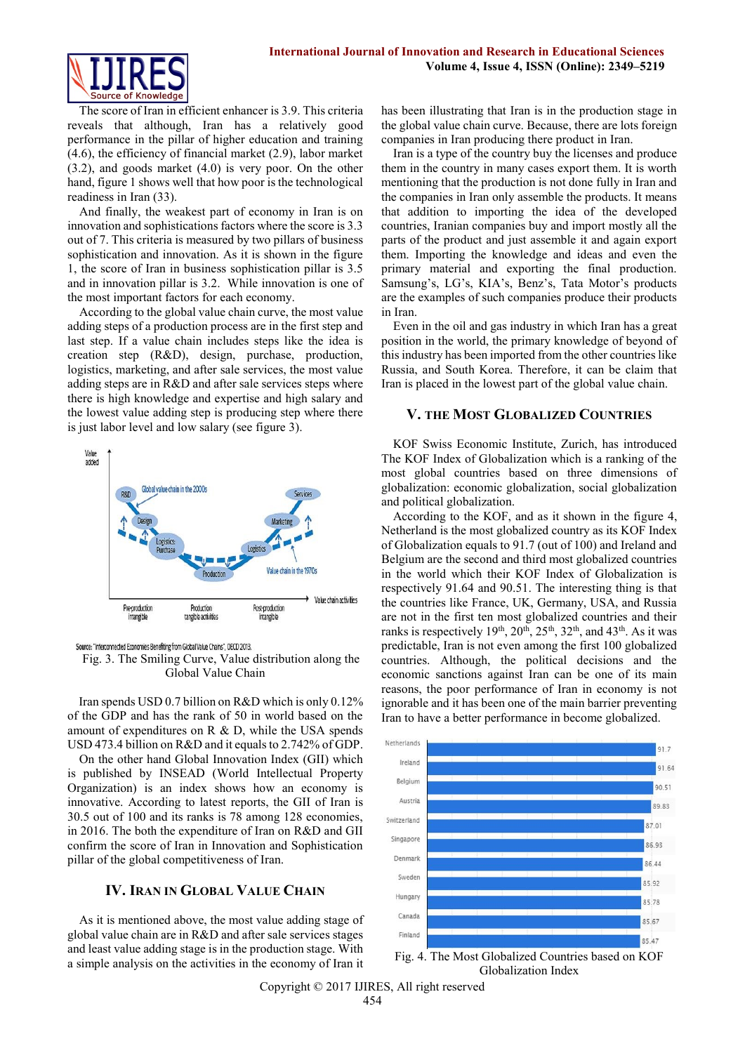

The score of Iran in efficient enhancer is 3.9. This criteria reveals that although, Iran has a relatively good performance in the pillar of higher education and training (4.6), the efficiency of financial market (2.9), labor market (3.2), and goods market (4.0) is very poor. On the other hand, figure 1 shows well that how poor is the technological readiness in Iran (33).

And finally, the weakest part of economy in Iran is on innovation and sophistications factors where the score is 3.3 out of 7. This criteria is measured by two pillars of business sophistication and innovation. As it is shown in the figure 1, the score of Iran in business sophistication pillar is 3.5 and in innovation pillar is 3.2. While innovation is one of the most important factors for each economy.

According to the global value chain curve, the most value adding steps of a production process are in the first step and last step. If a value chain includes steps like the idea is creation step (R&D), design, purchase, production, logistics, marketing, and after sale services, the most value adding steps are in R&D and after sale services steps where there is high knowledge and expertise and high salary and the lowest value adding step is producing step where there is just labor level and low salary (see figure 3).



Source: "Interconnected Economies Benefiting from Global Value Chains", OECD 2013.

Fig. 3. The Smiling Curve, Value distribution along the Global Value Chain

Iran spends USD 0.7 billion on R&D which is only 0.12% of the GDP and has the rank of 50 in world based on the amount of expenditures on R & D, while the USA spends USD 473.4 billion on R&D and it equals to 2.742% of GDP.

On the other hand Global Innovation Index (GII) which is published by INSEAD (World Intellectual Property Organization) is an index shows how an economy is innovative. According to latest reports, the GII of Iran is 30.5 out of 100 and its ranks is 78 among 128 economies, in 2016. The both the expenditure of Iran on R&D and GII confirm the score of Iran in Innovation and Sophistication pillar of the global competitiveness of Iran.

## **IV. IRAN IN GLOBAL VALUE CHAIN**

As it is mentioned above, the most value adding stage of global value chain are in R&D and after sale services stages and least value adding stage is in the production stage. With a simple analysis on the activities in the economy of Iran it has been illustrating that Iran is in the production stage in the global value chain curve. Because, there are lots foreign companies in Iran producing there product in Iran.

Iran is a type of the country buy the licenses and produce them in the country in many cases export them. It is worth mentioning that the production is not done fully in Iran and the companies in Iran only assemble the products. It means that addition to importing the idea of the developed countries, Iranian companies buy and import mostly all the parts of the product and just assemble it and again export them. Importing the knowledge and ideas and even the primary material and exporting the final production. Samsung's, LG's, KIA's, Benz's, Tata Motor's products are the examples of such companies produce their products in Iran.

Even in the oil and gas industry in which Iran has a great position in the world, the primary knowledge of beyond of this industry has been imported from the other countries like Russia, and South Korea. Therefore, it can be claim that Iran is placed in the lowest part of the global value chain.

#### **V. THE MOST GLOBALIZED COUNTRIES**

KOF Swiss Economic Institute, Zurich, has introduced The KOF Index of Globalization which is a ranking of the most global countries based on three dimensions of globalization: economic globalization, social globalization and political globalization.

According to the KOF, and as it shown in the figure 4, Netherland is the most globalized country as its KOF Index of Globalization equals to 91.7 (out of 100) and Ireland and Belgium are the second and third most globalized countries in the world which their KOF Index of Globalization is respectively 91.64 and 90.51. The interesting thing is that the countries like France, UK, Germany, USA, and Russia are not in the first ten most globalized countries and their ranks is respectively  $19<sup>th</sup>$ ,  $20<sup>th</sup>$ ,  $25<sup>th</sup>$ ,  $32<sup>th</sup>$ , and  $43<sup>th</sup>$ . As it was predictable, Iran is not even among the first 100 globalized countries. Although, the political decisions and the economic sanctions against Iran can be one of its main reasons, the poor performance of Iran in economy is not ignorable and it has been one of the main barrier preventing Iran to have a better performance in become globalized.



Fig. 4. The Most Globalized Countries based on KOF Globalization Index

Copyright © 2017 IJIRES, All right reserved 454